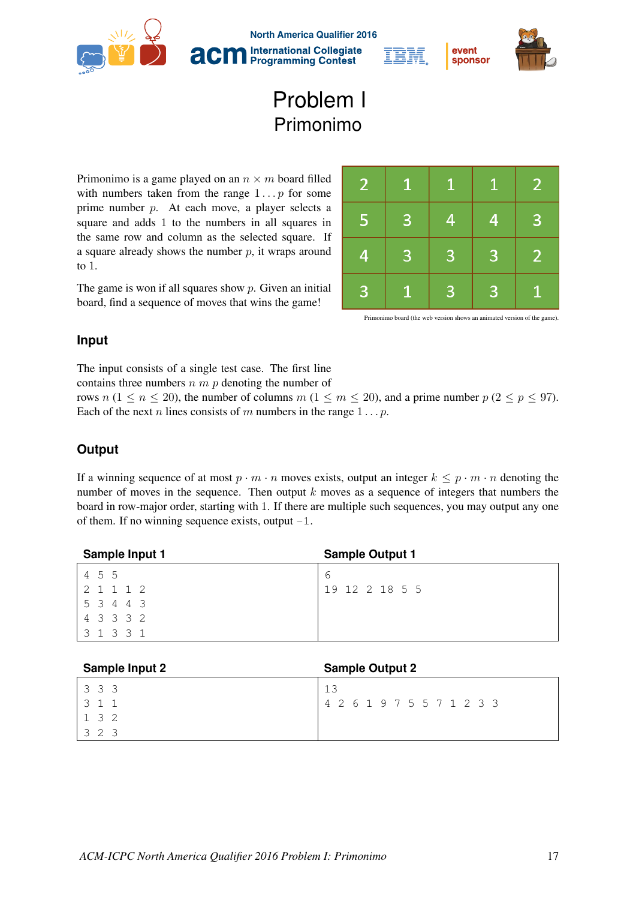

**North America Qualifier 2016 International Collegiate Programming Contest** 



## Problem I Primonimo

Primonimo is a game played on an  $n \times m$  board filled with numbers taken from the range  $1 \dots p$  for some prime number *p*. At each move, a player selects a square and adds 1 to the numbers in all squares in the same row and column as the selected square. If a square already shows the number *p*, it wraps around to 1.

The game is won if all squares show *p*. Given an initial board, find a sequence of moves that wins the game!

| $\overline{2}$          | $\mathbf{1}$ | $\mathbf{1}$ | $\mathbf{1}$   | $\overline{2}$ |
|-------------------------|--------------|--------------|----------------|----------------|
| $\overline{\mathbf{5}}$ | 3            | 4            | 4              | 3              |
| $\overline{4}$          | 3            | 3            | $\mathbf{B}$   | $\overline{2}$ |
| 3                       | ♦            | 3            | $\overline{3}$ | 1              |

event

sponsor

Primonimo board (the web version shows an animated version of the game).

## **Input**

The input consists of a single test case. The first line contains three numbers *n m p* denoting the number of

rows *n*  $(1 \le n \le 20)$ , the number of columns *m*  $(1 \le m \le 20)$ , and a prime number  $p (2 \le p \le 97)$ . Each of the next *n* lines consists of *m* numbers in the range 1 *...p*.

## **Output**

If a winning sequence of at most  $p \cdot m \cdot n$  moves exists, output an integer  $k \leq p \cdot m \cdot n$  denoting the number of moves in the sequence. Then output *k* moves as a sequence of integers that numbers the board in row-major order, starting with 1. If there are multiple such sequences, you may output any one of them. If no winning sequence exists, output  $-1$ .

| Sample Input 1 | <b>Sample Output 1</b> |
|----------------|------------------------|
| 4 5 5          | b                      |
| 2 1 1 1 2      | 19 12 2 18 5 5         |
| 5 3 4 4 3      |                        |
| 4 3 3 3 2      |                        |
| 3 1 3 3 1      |                        |

| <b>Sample Input 2</b> | <b>Sample Output 2</b>    |
|-----------------------|---------------------------|
| 3 3 3                 | 13                        |
| 3 1 1                 | 4 2 6 1 9 7 5 5 7 1 2 3 3 |
| 132                   |                           |
| ્ર                    |                           |